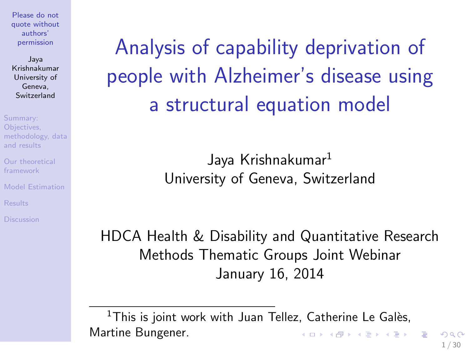Jaya Krishnakumar University of Geneva, **Switzerland** 

Summary: Objectives, [methodology, data](#page-2-0) and results

[Our theoretical](#page-7-0) framework

[Model Estimation](#page-13-0)

<span id="page-0-0"></span>Analysis of capability deprivation of people with Alzheimer's disease using a structural equation model

> Jaya Krishnakumar<sup>1</sup> University of Geneva, Switzerland

HDCA Health & Disability and Quantitative Research Methods Thematic Groups Joint Webinar January 16, 2014

 $1$ This is joint work with Juan Tellez, Catherine Le Galès, Martine Bungener.  $\left\{ \begin{array}{ccc} 1 & 0 & 0 \\ 0 & 1 & 0 \end{array} \right\}$  ,  $\left\{ \begin{array}{ccc} 0 & 0 & 0 \\ 0 & 0 & 0 \end{array} \right\}$  ,  $\left\{ \begin{array}{ccc} 0 & 0 & 0 \\ 0 & 0 & 0 \end{array} \right\}$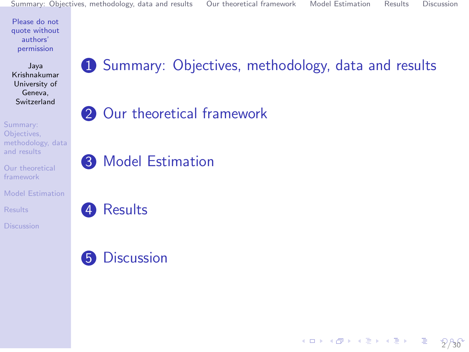Jaya Krishnakumar University of Geneva, Switzerland

Summary: Objectives, [methodology, data](#page-2-0) and results

[Our theoretical](#page-7-0) framework

[Model Estimation](#page-13-0)

[Results](#page-15-0)

### **1** [Summary: Objectives, methodology, data and results](#page-2-0)

### **2** [Our theoretical framework](#page-7-0)

**3** [Model Estimation](#page-13-0)

4 [Results](#page-15-0)

### **6** [Discussion](#page-23-0)

メロトメ 御 トメ 著 トメ 著 トー 著  $2/30$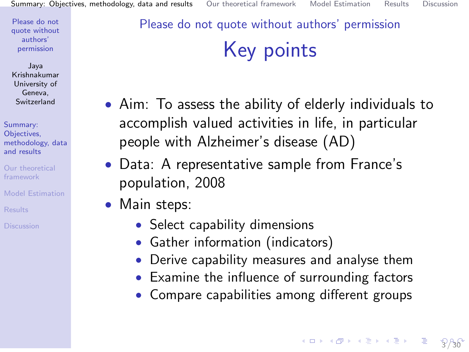Jaya Krishnakumar University of Geneva, Switzerland

Summary: Objectives, [methodology, data](#page-2-0) and results

[Our theoretical](#page-7-0) framework

- [Model Estimation](#page-13-0)
- 
- 

### <span id="page-2-0"></span>Please do not quote without authors' permission Key points

- Aim: To assess the ability of elderly individuals to accomplish valued activities in life, in particular people with Alzheimer's disease (AD)
- Data: A representative sample from France's population, 2008
- Main steps:
	- Select capability dimensions
	- Gather information (indicators)
	- Derive capability measures and analyse them
	- Examine the influence of surrounding factors
	- Compare capabilities among different groups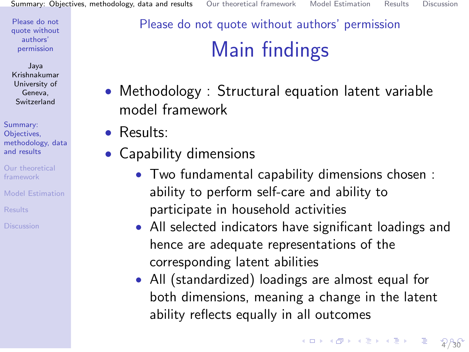Jaya Krishnakumar University of Geneva, Switzerland

Summary: Objectives, [methodology, data](#page-2-0) and results

[Our theoretical](#page-7-0) framework

[Model Estimation](#page-13-0)

## Please do not quote without authors' permission Main findings

- Methodology : Structural equation latent variable model framework
- Results:
- Capability dimensions
	- Two fundamental capability dimensions chosen : ability to perform self-care and ability to participate in household activities
	- All selected indicators have significant loadings and hence are adequate representations of the corresponding latent abilities
	- All (standardized) loadings are almost equal for both dimensions, meaning a change in the latent ability reflects equally in all outcomes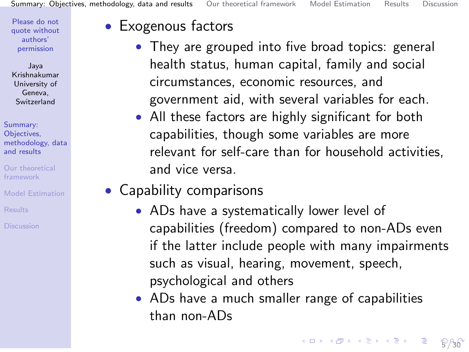Jaya Krishnakumar University of Geneva, Switzerland

Summary: Objectives, [methodology, data](#page-2-0) and results

- [Our theoretical](#page-7-0) framework
- [Model Estimation](#page-13-0)
- 
- 

#### • Exogenous factors

- They are grouped into five broad topics: general health status, human capital, family and social circumstances, economic resources, and government aid, with several variables for each.
- All these factors are highly significant for both capabilities, though some variables are more relevant for self-care than for household activities, and vice versa.
- Capability comparisons
	- ADs have a systematically lower level of capabilities (freedom) compared to non-ADs even if the latter include people with many impairments such as visual, hearing, movement, speech, psychological and others
	- ADs have a much smaller range of capabilities than non-ADs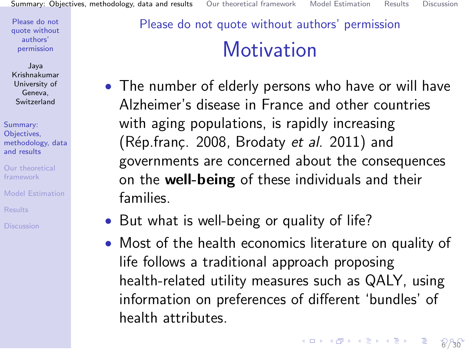Jaya Krishnakumar University of Geneva, Switzerland

Summary: Objectives, [methodology, data](#page-2-0) and results

[Our theoretical](#page-7-0) framework

[Model Estimation](#page-13-0)

[Results](#page-15-0)

## Please do not quote without authors' permission **Motivation**

- The number of elderly persons who have or will have Alzheimer's disease in France and other countries with aging populations, is rapidly increasing (Rép.franç. 2008, Brodaty et al. 2011) and governments are concerned about the consequences on the well-being of these individuals and their families.
- But what is well-being or quality of life?
- Most of the health economics literature on quality of life follows a traditional approach proposing health-related utility measures such as QALY, using information on preferences of different 'bundles' of health attributes.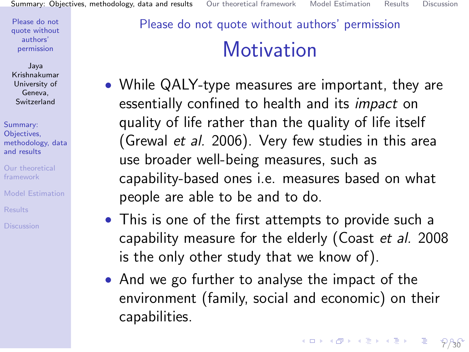Jaya Krishnakumar University of Geneva, Switzerland

Summary: Objectives, [methodology, data](#page-2-0) and results

[Our theoretical](#page-7-0) framework

[Model Estimation](#page-13-0)

[Results](#page-15-0)

## <span id="page-6-0"></span>Please do not quote without authors' permission **Motivation**

- While QALY-type measures are important, they are essentially confined to health and its impact on quality of life rather than the quality of life itself (Grewal et al. 2006). Very few studies in this area use broader well-being measures, such as capability-based ones i.e. measures based on what people are able to be and to do.
- This is one of the first attempts to provide such a capability measure for the elderly (Coast et al. 2008 is the only other study that we know of).
- And we go further to analyse the impact of the environment (family, social and economic) on their capabilities.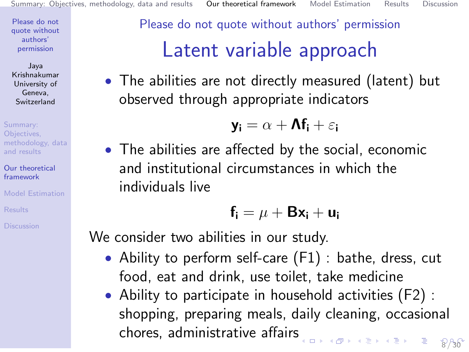Jaya Krishnakumar University of Geneva, Switzerland

Summary: Objectives, [methodology, data](#page-2-0) and results

[Our theoretical](#page-7-0) framework

[Model Estimation](#page-13-0)

<span id="page-7-0"></span>Please do not quote without authors' permission Latent variable approach

• The abilities are not directly measured (latent) but observed through appropriate indicators

$$
\textbf{y}_\textbf{i} = \alpha + \textbf{A}\textbf{f}_\textbf{i} + \varepsilon_\textbf{i}
$$

• The abilities are affected by the social, economic and institutional circumstances in which the individuals live

$$
\textbf{f}_i = \mu + \textbf{B} \textbf{x}_i + \textbf{u}_i
$$

We consider two abilities in our study.

- Ability to perform self-care (F1) : bathe, dress, cut food, eat and drink, use toilet, take medicine
- Ability to participate in household activities (F2) : shopping, preparing meals, daily cleaning, occasional chores, administrative affair[s](#page-6-0) **K ロ ▶ K 御 ▶ K 君 ▶ K 君 ▶** 8 / 30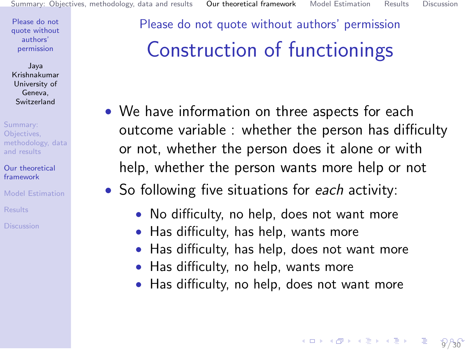Jaya Krishnakumar University of Geneva, Switzerland

Summary: Objectives, [methodology, data](#page-2-0) and results

[Our theoretical](#page-7-0) framework

[Model Estimation](#page-13-0)

Please do not quote without authors' permission Construction of functionings

- We have information on three aspects for each outcome variable : whether the person has difficulty or not, whether the person does it alone or with help, whether the person wants more help or not
- So following five situations for each activity:
	- No difficulty, no help, does not want more
	- Has difficulty, has help, wants more
	- Has difficulty, has help, does not want more
	- Has difficulty, no help, wants more
	- Has difficulty, no help, does not want more

 $9/30$ 

K ロ > K @ > K 할 > K 할 > ... 할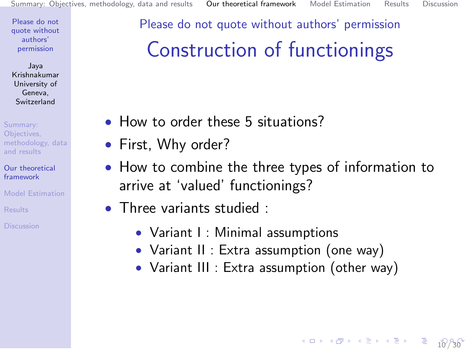$10 \times 10 \times 10^{-1}$  $10 \times 10 \times 10^{-1}$ 

Please do not [quote without](#page-0-0) authors' permission

Jaya Krishnakumar University of Geneva, Switzerland

Summary: Objectives, [methodology, data](#page-2-0) and results

[Our theoretical](#page-7-0) framework

[Model Estimation](#page-13-0)

<span id="page-9-0"></span>Please do not quote without authors' permission

## Construction of functionings

- How to order these 5 situations?
- First, Why order?
- How to combine the three types of information to arrive at 'valued' functionings?
- Three variants studied :
	- Variant I : Minimal assumptions
	- Variant II : Extra assumption (one way)
	- Variant III : Extra assumption (other way)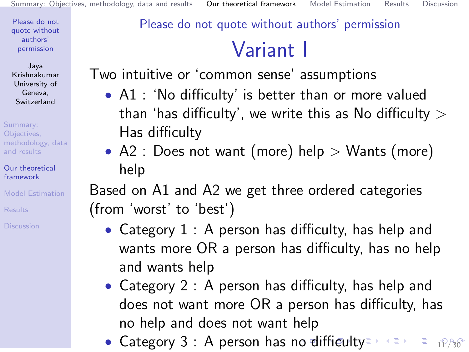Jaya Krishnakumar University of Geneva, Switzerland

Summary: Objectives, [methodology, data](#page-2-0) and results

[Our theoretical](#page-7-0) framework

[Model Estimation](#page-13-0)

**[Results](#page-15-0)** 

### <span id="page-10-0"></span>Please do not quote without authors' permission

## Variant I

Two intuitive or 'common sense' assumptions

- A1 : 'No difficulty' is better than or more valued than 'has difficulty', we write this as No difficulty  $>$ Has difficulty
- A2 : Does not want (more) help  $>$  Wants (more) help

Based on A1 and A2 we get three ordered categories (from 'worst' to 'best')

- Category 1 : A person has difficulty, has help and wants more OR a person has difficulty, has no help and wants help
- Category 2 : A person has difficulty, has help and does not want more OR a person has difficulty, has no help and does not want help
- Category 3 : A person has [no](#page-9-0) [di](#page-11-0)[ffi](#page-9-0)[cu](#page-10-0)[l](#page-11-0)[ty](#page-6-0)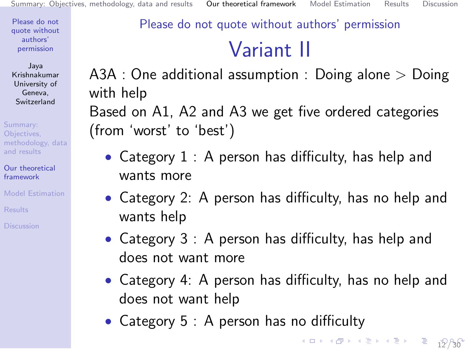Jaya Krishnakumar University of Geneva, Switzerland

Summary: Objectives, [methodology, data](#page-2-0) and results

[Our theoretical](#page-7-0) framework

[Model Estimation](#page-13-0)

**[Results](#page-15-0)** 

<span id="page-11-0"></span>Please do not quote without authors' permission

# Variant II

A3A : One additional assumption : Doing alone > Doing with help

Based on A1, A2 and A3 we get five ordered categories (from 'worst' to 'best')

- Category 1 : A person has difficulty, has help and wants more
- Category 2: A person has difficulty, has no help and wants help
- Category 3 : A person has difficulty, has help and does not want more
- Category 4: A person has difficulty, has no help and does not want help
- Category 5 : A person has no difficulty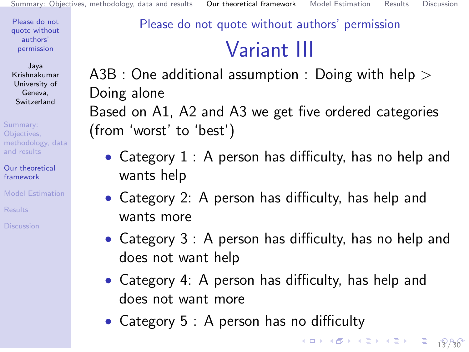Jaya Krishnakumar University of Geneva, Switzerland

Summary: Objectives, [methodology, data](#page-2-0) and results

[Our theoretical](#page-7-0) framework

[Model Estimation](#page-13-0)

**[Results](#page-15-0)** 

### Please do not quote without authors' permission

# Variant III

A3B : One additional assumption : Doing with help  $>$ Doing alone Based on A1, A2 and A3 we get five ordered categories (from 'worst' to 'best')

- Category 1 : A person has difficulty, has no help and wants help
- Category 2: A person has difficulty, has help and wants more
- Category 3 : A person has difficulty, has no help and does not want help
- Category 4: A person has difficulty, has help and does not want more
- Category 5 : A person has no difficulty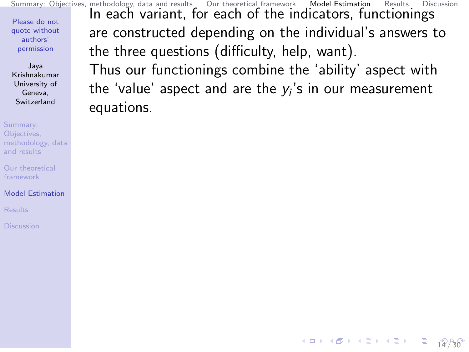<span id="page-13-0"></span>Please do not [quote without](#page-0-0) authors' permission Jaya Krishnakumar University of Geneva, Switzerland Summary: Objectives, [methodology, data](#page-2-0) and results [Summary: Objectives, methodology, data and results](#page-2-0) [Our theoretical framework](#page-7-0) [Model Estimation](#page-13-0) [Results](#page-15-0) [Discussion](#page-23-0) In each variant, for each of the indicators, functionings are constructed depending on the individual's answers to the three questions (difficulty, help, want). Thus our functionings combine the 'ability' aspect with the 'value' aspect and are the  $y_i$ 's in our measurement equations.

[1](#page-30-0)0 X 4*8* X 4월 X 4월 X 1월 1*월 2*0일

[Our theoretical](#page-7-0) framework

[Model Estimation](#page-13-0)

**[Results](#page-15-0)**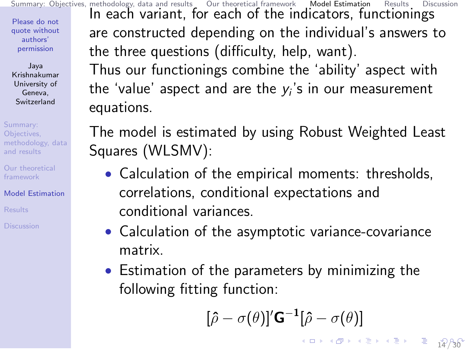<span id="page-14-0"></span>Please do not [quote without](#page-0-0) authors' permission Jaya Krishnakumar University of Geneva, Switzerland Summary: Objectives, [methodology, data](#page-2-0) and results [Our theoretical](#page-7-0) framework [Model Estimation](#page-13-0) [Summary: Objectives, methodology, data and results](#page-2-0) [Our theoretical framework](#page-7-0) [Model Estimation](#page-13-0) [Results](#page-15-0) [Discussion](#page-23-0) In each variant, for each of the indicators, functionings are constructed depending on the individual's answers to the three questions (difficulty, help, want). Thus our functionings combine the 'ability' aspect with the 'value' aspect and are the  $y_i$ 's in our measurement equations. The model is estimated by using Robust Weighted Least Squares (WLSMV): • Calculation of the empirical moments: thresholds, correlations, conditional expectations and

conditional variances.

**[Results](#page-15-0)** 

• Calculation of the asymptotic variance-covariance matrix.

• Estimation of the parameters by minimizing the following fitting function:

$$
[\hat{\rho} - \sigma(\theta)]' \mathbf{G}^{-1}[\hat{\rho} - \sigma(\theta)]
$$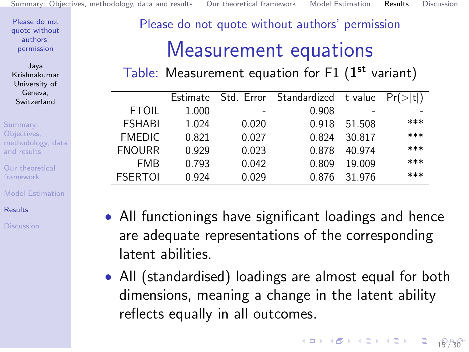Jaya Krishnakumar University of Geneva, Switzerland

Summary: Objectives, [methodology, data](#page-2-0) and results

[Our theoretical](#page-7-0) framework

[Model Estimation](#page-13-0)

[Results](#page-15-0)

<span id="page-15-0"></span>Please do not quote without authors' permission

## Measurement equations

Table: Measurement equation for F1  $(1^{\text{st}}$  variant)

|                | Estimate |       | Std. Error Standardized t value |        |     |
|----------------|----------|-------|---------------------------------|--------|-----|
| <b>FTOIL</b>   | 1.000    |       | 0.908                           |        |     |
| <b>FSHABI</b>  | 1.024    | 0.020 | 0.918                           | 51.508 | *** |
| <b>FMEDIC</b>  | 0.821    | 0.027 | 0.824                           | 30.817 | *** |
| <b>FNOURR</b>  | 0.929    | 0.023 | 0.878                           | 40 974 | *** |
| <b>FMB</b>     | 0.793    | 0.042 | 0.809                           | 19.009 | *** |
| <b>FSERTOI</b> | 0.924    | 0.029 | 0 876                           | 31 976 | *** |

- All functionings have significant loadings and hence are adequate representations of the corresponding latent abilities.
- All (standardised) loadings are almost equal for both dimensions, meaning a change in the latent ability reflects equally in all outcomes.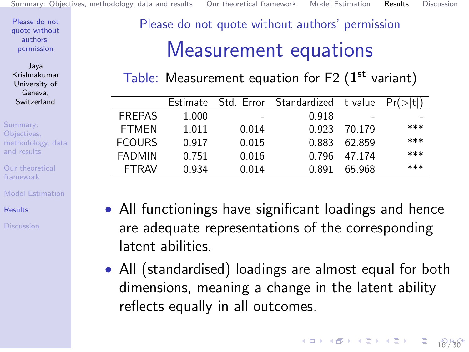Jaya Krishnakumar University of Geneva, Switzerland

Summary: Objectives, [methodology, data](#page-2-0) and results

[Our theoretical](#page-7-0) framework

[Model Estimation](#page-13-0)

[Results](#page-15-0)

Please do not quote without authors' permission

## Measurement equations

Table: Measurement equation for F2  $(1^{st}$  variant)

|               | <b>Estimate</b> | Std. Error | Standardized tvalue |        | Pr(> t ) |
|---------------|-----------------|------------|---------------------|--------|----------|
| <b>FREPAS</b> | 1.000           | -          | 0.918               |        |          |
| <b>FTMFN</b>  | 1.011           | 0.014      | 0.923               | 70 179 | ***      |
| <b>FCOURS</b> | 0.917           | 0.015      | 0.883               | 62.859 | ***      |
| <b>FADMIN</b> | 0.751           | 0.016      | በ 796               | 47 174 | ***      |
| <b>FTRAV</b>  | 0.934           | 0.014      | በ 891               | 65 968 | ***      |
|               |                 |            |                     |        |          |

- All functionings have significant loadings and hence are adequate representations of the corresponding latent abilities.
- All (standardised) loadings are almost equal for both dimensions, meaning a change in the latent ability reflects equally in all outcomes.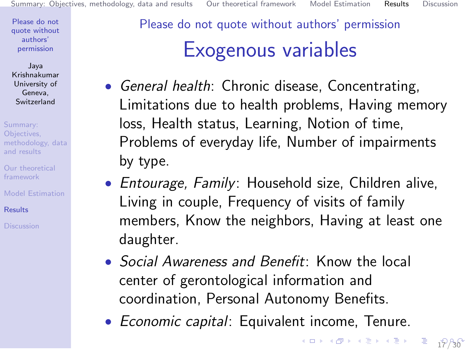Jaya Krishnakumar University of Geneva, Switzerland

Summary: Objectives, [methodology, data](#page-2-0) and results

[Our theoretical](#page-7-0) framework

[Model Estimation](#page-13-0)

[Results](#page-15-0)

Please do not quote without authors' permission Exogenous variables

- General health: Chronic disease, Concentrating, Limitations due to health problems, Having memory loss, Health status, Learning, Notion of time, Problems of everyday life, Number of impairments by type.
- Entourage, Family: Household size, Children alive, Living in couple, Frequency of visits of family members, Know the neighbors, Having at least one daughter.
- *Social Awareness and Benefit:* Know the local center of gerontological information and coordination, Personal Autonomy Benefits.
- Economic capital: Equivalent income, Tenure.

[1](#page-30-0)288

K ロ > K @ > K 할 > K 할 > ... 할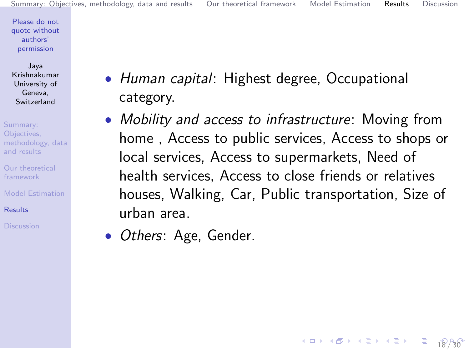[1](#page-30-0)8 / 30

K ロ > K @ > K 할 > K 할 > ... 할

Please do not [quote without](#page-0-0) authors' permission

Jaya Krishnakumar University of Geneva, Switzerland

Summary: Objectives, [methodology, data](#page-2-0) and results

[Our theoretical](#page-7-0) framework

[Model Estimation](#page-13-0)

[Results](#page-15-0)

- <span id="page-18-0"></span>• Human capital: Highest degree, Occupational category.
- Mobility and access to infrastructure: Moving from home , Access to public services, Access to shops or local services, Access to supermarkets, Need of health services, Access to close friends or relatives houses, Walking, Car, Public transportation, Size of urban area.
- *Others:* Age, Gender.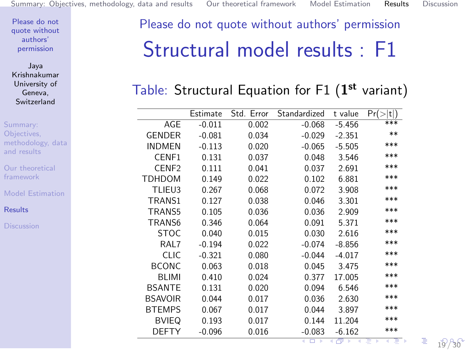Jaya Krishnakumar University of Geneva, Switzerland

Summary: Objectives,

and results [Our theoretical](#page-7-0) framework

**[Results](#page-15-0)** 

[methodology, data](#page-2-0) [Model Estimation](#page-13-0) Estimate Std. Error Standardized t value  $Pr(>\vert t \vert)$ <br>-0.011 0.002 -0.068 -5.456 \*\*\* AGE -0.011 0.002 -0.068 -5.456 \*\*\* GENDER -0.081 0.034 -0.029 -2.351 \*\* INDMEN -0.113 0.020 -0.065 -5.505 \*\*\* CENF1 0.131 0.037 0.048 3.546 \*\*\* CENF2 0.111 0.041 0.037 2.691 \*\*\* TDHDOM 0.149 0.022 0.102 6.881 \*\*\* TLIEU3 0.267 0.068 0.072 3.908 \*\*\* TRANS1 0.127 0.038 0.046 3.301 \*\*\* TRANS5 0.105 0.036 0.036 2.909 \*\*\* TRANS6 0.346 0.064 0.091 5.371 \*\*\* STOC 0.040 0.015 0.030 2.616 \*\*\* RAL7 -0.194 0.022 -0.074 -8.856 \*\*\* CLIC -0.321 0.080 -0.044 -4.017 \*\*\* BCONC 0.063 0.018 0.045 3.475 \*\*\* BLIMI 0.410 0.024 0.377 17.005 \*\*\* BSANTE 0.131 0.020 0.094 6.546 \*\*\* BSAVOIR 0.044 0.017 0.036 2.630 \*\*\* BTEMPS 0.067 0.017 0.044 3.897 \*\*\* BVIEQ 0.193 0.017 0.144 11.204 \*\*\* DEFTY [-0.](#page-18-0)096 0.016 -0.0[83](#page-20-0) [-6.](#page-19-0)[16](#page-20-0)[2 \\*](#page-14-0)[\\*\\*](#page-15-0)

<span id="page-19-0"></span>Please do not quote without authors' permission Structural model results : F1

#### Table: Structural Equation for F1  $(1^{st}$  variant)

э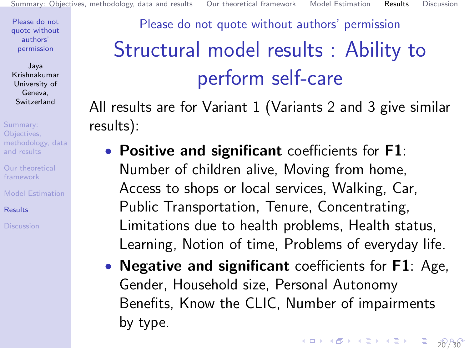Jaya Krishnakumar University of Geneva, Switzerland

Summary: Objectives, [methodology, data](#page-2-0) and results

[Our theoretical](#page-7-0) framework

[Model Estimation](#page-13-0)

[Results](#page-15-0)

## <span id="page-20-0"></span>Please do not quote without authors' permission Structural model results : Ability to perform self-care

All results are for Variant 1 (Variants 2 and 3 give similar results):

- Positive and significant coefficients for F1: Number of children alive, Moving from home, Access to shops or local services, Walking, Car, Public Transportation, Tenure, Concentrating, Limitations due to health problems, Health status, Learning, Notion of time, Problems of everyday life.
- **Negative and significant** coefficients for **F1**: Age, Gender, Household size, Personal Autonomy Benefits, Know the CLIC, Number of impairments by type.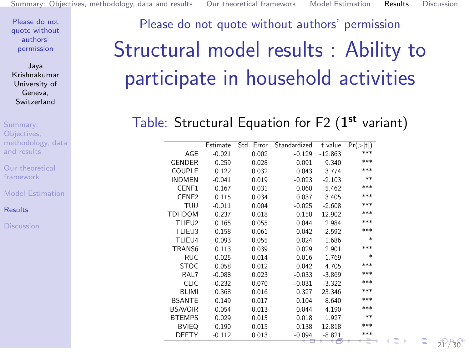Jaya Krishnakumar University of Geneva, Switzerland

Summary: Objectives, [methodology, data](#page-2-0) and results

[Our theoretical](#page-7-0) framework

[Model Estimation](#page-13-0)

[Results](#page-15-0)

# <span id="page-21-0"></span>Please do not quote without authors' permission Structural model results : Ability to participate in household activities

#### Table: Structural Equation for F2  $(1^{st}$  variant)

|                   | Estimate | Std. Error | Standardized | t value   | Pr(><br> t ) |
|-------------------|----------|------------|--------------|-----------|--------------|
| <b>AGE</b>        | $-0.021$ | 0.002      | $-0.129$     | $-12.863$ | ***          |
| <b>GENDER</b>     | 0.259    | 0.028      | 0.091        | 9.340     | ***          |
| COUPLE            | 0.122    | 0.032      | 0.043        | 3.774     | ***          |
| <b>INDMEN</b>     | $-0.041$ | 0.019      | $-0.023$     | $-2.103$  | **           |
| CENF1             | 0.167    | 0.031      | 0.060        | 5.462     | ***          |
| CENF <sub>2</sub> | 0.115    | 0.034      | 0.037        | 3.405     | ***          |
| TUU               | $-0.011$ | 0.004      | $-0.025$     | $-2.608$  | ***          |
| TDHDOM            | 0.237    | 0.018      | 0.158        | 12.902    | ***          |
| TLIEU2            | 0.165    | 0.055      | 0.044        | 2.984     | ***          |
| TLIEU3            | 0.158    | 0.061      | 0.042        | 2.592     | ***          |
| TLIEU4            | 0.093    | 0.055      | 0.024        | 1.686     | *            |
| TRANS6            | 0.113    | 0.039      | 0.029        | 2.901     | ***          |
| <b>RUC</b>        | 0.025    | 0.014      | 0.016        | 1.769     | *            |
| <b>STOC</b>       | 0.058    | 0.012      | 0.042        | 4.705     | ***          |
| RAL7              | $-0.088$ | 0.023      | $-0.033$     | $-3.869$  | ***          |
| <b>CLIC</b>       | $-0.232$ | 0.070      | $-0.031$     | $-3.322$  | ***          |
| <b>BLIMI</b>      | 0.368    | 0.016      | 0.327        | 23.346    | ***          |
| <b>BSANTE</b>     | 0.149    | 0.017      | 0.104        | 8.640     | ***          |
| <b>BSAVOIR</b>    | 0.054    | 0.013      | 0.044        | 4.190     | ***          |
| <b>BTEMPS</b>     | 0.029    | 0.015      | 0.018        | 1.927     | **           |
| <b>BVIEQ</b>      | 0.190    | 0.015      | 0.138        | 12.818    | ***          |
| <b>DEFTY</b>      | $-0.112$ | 0.013      | $-0.094$     | $-8.821$  | ***          |
|                   |          |            |              |           |              |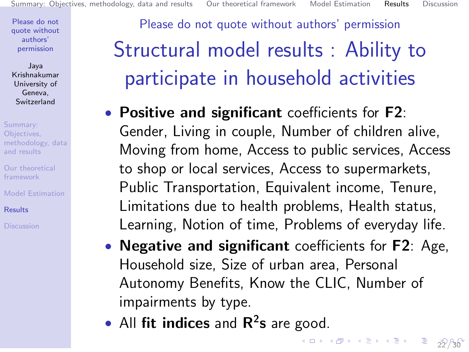Jaya Krishnakumar University of Geneva, Switzerland

Summary: Objectives, [methodology, data](#page-2-0) and results

[Our theoretical](#page-7-0) framework

[Model Estimation](#page-13-0)

[Results](#page-15-0)

<span id="page-22-0"></span>Please do not quote without authors' permission Structural model results : Ability to participate in household activities

- Positive and significant coefficients for F2: Gender, Living in couple, Number of children alive, Moving from home, Access to public services, Access to shop or local services, Access to supermarkets, Public Transportation, Equivalent income, Tenure, Limitations due to health problems, Health status, Learning, Notion of time, Problems of everyday life.
- **Negative and significant** coefficients for **F2**: Age, Household size, Size of urban area, Personal Autonomy Benefits, Know the CLIC, Number of impairments by type.

[2](#page-30-0)2 / 30

• All fit indices and  $\mathbb{R}^2$ s are good.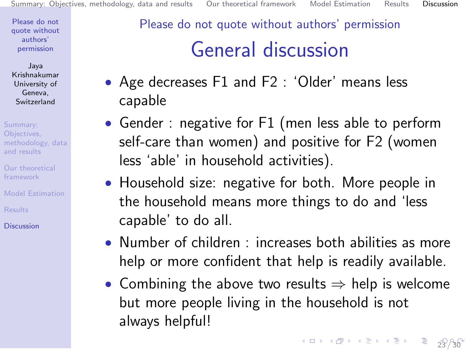Jaya Krishnakumar University of Geneva, Switzerland

Summary: Objectives, [methodology, data](#page-2-0) and results

- [Our theoretical](#page-7-0) framework
- [Model Estimation](#page-13-0)
- **[Results](#page-15-0)**

[Discussion](#page-23-0)

### <span id="page-23-0"></span>Please do not quote without authors' permission General discussion

- Age decreases F1 and F2 : 'Older' means less capable
- Gender : negative for F1 (men less able to perform self-care than women) and positive for F2 (women less 'able' in household activities).
- Household size: negative for both. More people in the household means more things to do and 'less capable' to do all.
- Number of children : increases both abilities as more help or more confident that help is readily available.
- Combining the above two results  $\Rightarrow$  help is welcome but more people living in the household is not always helpful!

4 ロ > 4 레 > 4 로 > 4 로 > - 로 - 3[2](#page-30-0) AG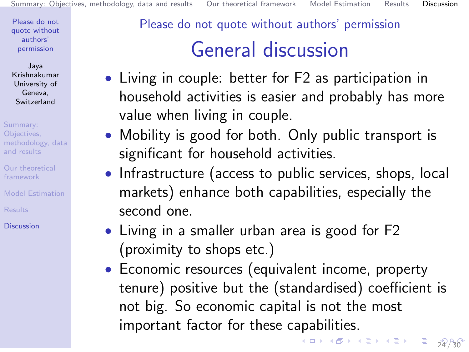Jaya Krishnakumar University of Geneva, Switzerland

Summary: Objectives, [methodology, data](#page-2-0) and results

[Our theoretical](#page-7-0) framework

[Model Estimation](#page-13-0)

**[Results](#page-15-0)** 

**[Discussion](#page-23-0)** 

#### Please do not quote without authors' permission

## General discussion

- Living in couple: better for F2 as participation in household activities is easier and probably has more value when living in couple.
- Mobility is good for both. Only public transport is significant for household activities.
- Infrastructure (access to public services, shops, local markets) enhance both capabilities, especially the second one.
- Living in a smaller urban area is good for F2 (proximity to shops etc.)
- Economic resources (equivalent income, property tenure) positive but the (standardised) coefficient is not big. So economic capital is not the most important factor for these capabilities. [2](#page-30-0)4 / 30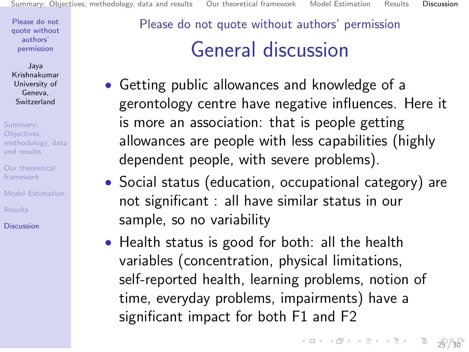Jaya Krishnakumar University of Geneva, Switzerland

Summary: Objectives, [methodology, data](#page-2-0) and results

[Our theoretical](#page-7-0) framework

[Model Estimation](#page-13-0)

**[Results](#page-15-0)** 

**[Discussion](#page-23-0)** 

## <span id="page-25-0"></span>Please do not quote without authors' permission General discussion

- Getting public allowances and knowledge of a gerontology centre have negative influences. Here it is more an association: that is people getting allowances are people with less capabilities (highly dependent people, with severe problems).
- Social status (education, occupational category) are not significant : all have similar status in our sample, so no variability
- Health status is good for both: all the health variables (concentration, physical limitations, self-reported health, learning problems, notion of time, everyday problems, impairments) have a significant impact for both F1 and F2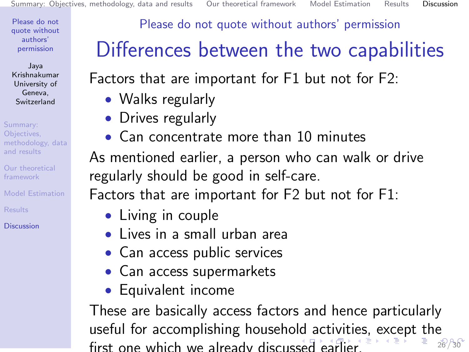Jaya Krishnakumar University of Geneva, Switzerland

Summary: Objectives, [methodology, data](#page-2-0) and results

[Our theoretical](#page-7-0) framework

[Model Estimation](#page-13-0)

**[Results](#page-15-0)** 

**[Discussion](#page-23-0)** 

Please do not quote without authors' permission

# <span id="page-26-0"></span>Differences between the two capabilities

Factors that are important for F1 but not for F2:

- Walks regularly
- Drives regularly
- Can concentrate more than 10 minutes

As mentioned earlier, a person who can walk or drive regularly should be good in self-care.

Factors that are important for F2 but not for F1:

- Living in couple
- Lives in a small urban area
- Can access public services
- Can access supermarkets
- Equivalent income

These are basically access factors and hence particularly useful for accomplishing household activiti[es](#page-23-0)[, e](#page-30-0)[x](#page-22-0)[c](#page-23-0)[ep](#page-30-0)[t](#page-0-0) [the](#page-30-0) first one which we already discus[sed](#page-25-0) [e](#page-27-0)[a](#page-25-0)[rli](#page-26-0)[e](#page-27-0)[r.](#page-22-0)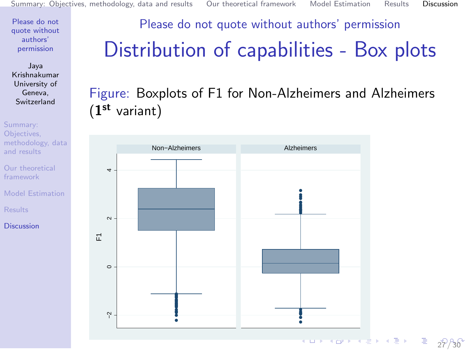Jaya Krishnakumar University of Geneva, Switzerland

Summary: Objectives, [methodology, data](#page-2-0) and results

[Our theoretical](#page-7-0) framework

[Model Estimation](#page-13-0)

[Results](#page-15-0)

[Discussion](#page-23-0)

### <span id="page-27-0"></span>Please do not quote without authors' permission Distribution of capabilities - Box plots

#### Figure: Boxplots of F1 for Non-Alzheimers and Alzheimers  $(1^{st}$  variant)



 $328$  $328$  $328$ 

€.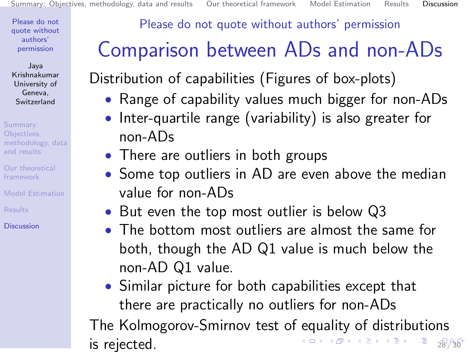Jaya Krishnakumar University of Geneva, Switzerland

Summary: Objectives, [methodology, data](#page-2-0) and results

[Our theoretical](#page-7-0) framework

[Model Estimation](#page-13-0)

**[Results](#page-15-0)** 

**[Discussion](#page-23-0)** 

Please do not quote without authors' permission

# <span id="page-28-0"></span>Comparison between ADs and non-ADs

Distribution of capabilities (Figures of box-plots)

- Range of capability values much bigger for non-ADs
- Inter-quartile range (variability) is also greater for non-ADs
- There are outliers in both groups
- Some top outliers in AD are even above the median value for non-ADs
- But even the top most outlier is below Q3
- The bottom most outliers are almost the same for both, though the AD Q1 value is much below the non-AD Q1 value.
- Similar picture for both capabilities except that there are practically no outliers for non-ADs

The Kolmogorov-Smirnov test of equality of distributions is rejected.  $\overline{a}$  and  $\overline{a}$  and  $\overline{a}$   $\overline{a}$  and  $\overline{a}$   $\overline{a}$   $\overline{a}$   $\overline{a}$   $\overline{a}$   $\overline{a}$   $\overline{a}$   $\overline{a}$   $\overline{a}$   $\overline{a}$   $\overline{a}$   $\overline{a}$   $\overline{a}$   $\overline{a}$   $\overline{a}$   $\overline{a}$   $\overline{a}$   $\overline{a}$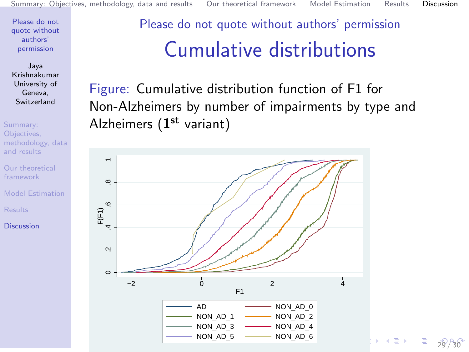Jaya Krishnakumar University of Geneva, Switzerland

Summary: Objectives, [methodology, data](#page-2-0) and results

[Our theoretical](#page-7-0) framework

[Model Estimation](#page-13-0)

[Results](#page-15-0)

[Discussion](#page-23-0)

Please do not quote without authors' permission Cumulative distributions

Figure: Cumulative distribution function of F1 for Non-Alzheimers by number of impairments by type and Alzheimers  $(1^{st}$  variant)



 $\Rightarrow$ [2](#page-30-0)9 / 30